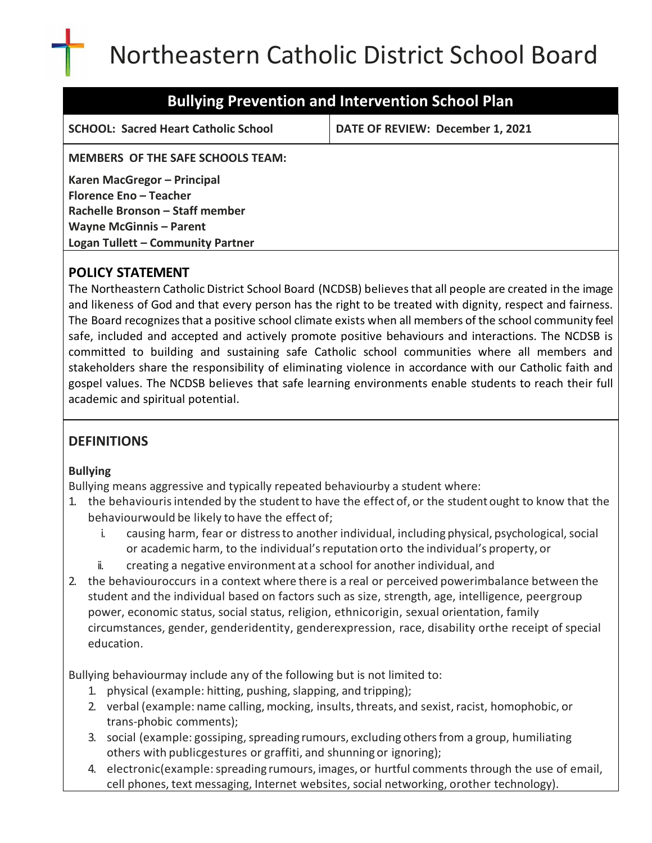# Northeastern Catholic District School Board

**SCHOOL: Sacred Heart Catholic School DATE OF REVIEW: December 1, 2021**

**MEMBERS OF THE SAFE SCHOOLS TEAM:**

**Karen MacGregor – Principal Florence Eno – Teacher Rachelle Bronson – Staff member Wayne McGinnis – Parent Logan Tullett – Community Partner**

# **POLICY STATEMENT**

The Northeastern Catholic District School Board (NCDSB) believesthat all people are created in the image and likeness of God and that every person has the right to be treated with dignity, respect and fairness. The Board recognizesthat a positive school climate exists when all members of the school community feel safe, included and accepted and actively promote positive behaviours and interactions. The NCDSB is committed to building and sustaining safe Catholic school communities where all members and stakeholders share the responsibility of eliminating violence in accordance with our Catholic faith and gospel values. The NCDSB believes that safe learning environments enable students to reach their full academic and spiritual potential.

# **DEFINITIONS**

## **Bullying**

Bullying means aggressive and typically repeated behaviourby a student where:

- 1. the behaviourisintended by the studentto have the effect of, or the student ought to know that the behaviourwould be likely to have the effect of;
	- i. causing harm, fear or distress to another individual, including physical, psychological, social or academic harm, to the individual'sreputation orto the individual's property, or
	- ii. creating a negative environment at a school for another individual, and
- 2. the behaviouroccurs in a context where there is a real or perceived powerimbalance between the student and the individual based on factors such as size, strength, age, intelligence, peergroup power, economic status, social status, religion, ethnicorigin, sexual orientation, family circumstances, gender, genderidentity, genderexpression, race, disability orthe receipt of special education.

Bullying behaviourmay include any of the following but is not limited to:

- 1. physical (example: hitting, pushing, slapping, and tripping);
- 2. verbal (example: name calling, mocking, insults,threats, and sexist, racist, homophobic, or trans‐phobic comments);
- 3. social (example: gossiping, spreading rumours, excluding others from a group, humiliating others with publicgestures or graffiti, and shunning or ignoring);
- 4. electronic(example:spreading rumours, images, or hurtful comments through the use of email, cell phones, text messaging, Internet websites, social networking, orother technology).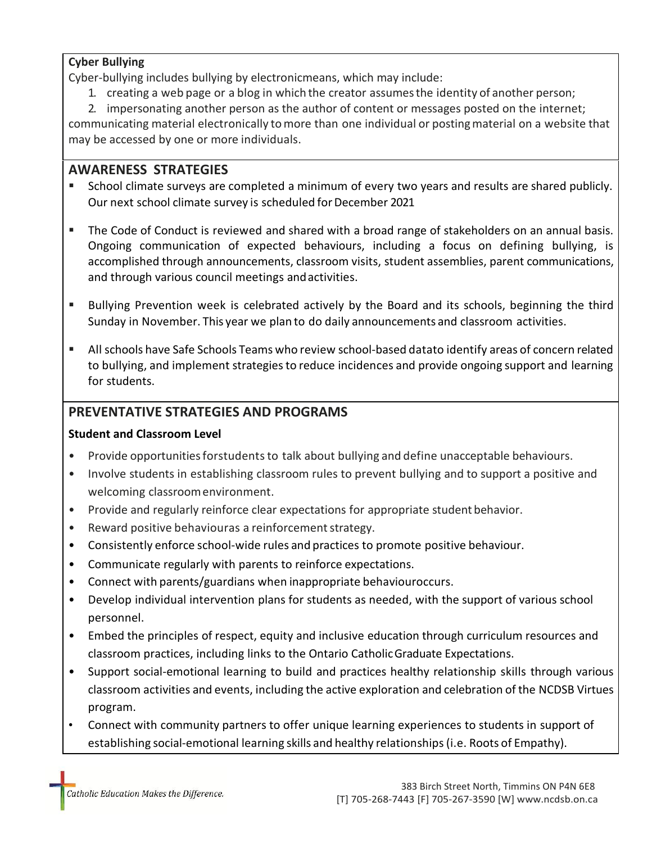#### **Cyber Bullying**

Cyber-bullying includes bullying by electronicmeans, which may include:

- 1. creating a web page or a blog in which the creator assumesthe identity of another person;
- 2. impersonating another person as the author of content or messages posted on the internet;

communicating material electronically tomore than one individual or postingmaterial on a website that may be accessed by one or more individuals.

## **AWARENESS STRATEGIES**

- School climate surveys are completed a minimum of every two years and results are shared publicly. Our next school climate survey is scheduled for December 2021
- The Code of Conduct is reviewed and shared with a broad range of stakeholders on an annual basis. Ongoing communication of expected behaviours, including a focus on defining bullying, is accomplished through announcements, classroom visits, student assemblies, parent communications, and through various council meetings andactivities.
- Bullying Prevention week is celebrated actively by the Board and its schools, beginning the third Sunday in November. This year we plan to do daily announcements and classroom activities.
- All schools have Safe Schools Teams who review school-based datato identify areas of concern related to bullying, and implement strategies to reduce incidences and provide ongoing support and learning for students.

## **PREVENTATIVE STRATEGIES AND PROGRAMS**

## **Student and Classroom Level**

- Provide opportunities forstudents to talk about bullying and define unacceptable behaviours.
- Involve students in establishing classroom rules to prevent bullying and to support a positive and welcoming classroomenvironment.
- Provide and regularly reinforce clear expectations for appropriate student behavior.
- Reward positive behaviouras a reinforcement strategy.
- Consistently enforce school-wide rules and practices to promote positive behaviour.
- Communicate regularly with parents to reinforce expectations.
- Connect with parents/guardians when inappropriate behaviouroccurs.
- Develop individual intervention plans for students as needed, with the support of various school personnel.
- Embed the principles of respect, equity and inclusive education through curriculum resources and classroom practices, including links to the Ontario CatholicGraduate Expectations.
- Support social‐emotional learning to build and practices healthy relationship skills through various classroom activities and events, including the active exploration and celebration of the NCDSB Virtues program.
- Connect with community partners to offer unique learning experiences to students in support of establishing social-emotional learning skills and healthy relationships (i.e. Roots of Empathy).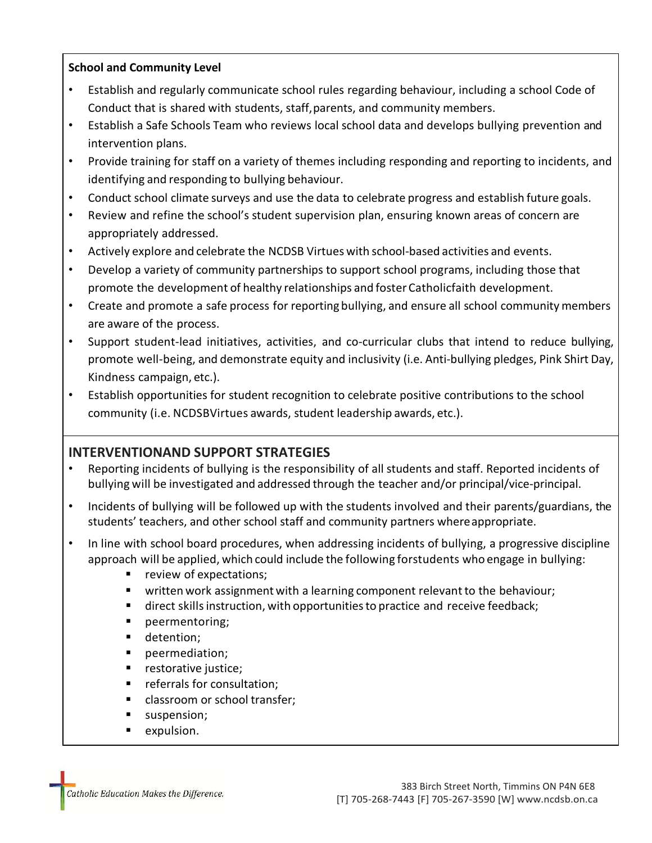#### **School and Community Level**

- Establish and regularly communicate school rules regarding behaviour, including a school Code of Conduct that is shared with students, staff,parents, and community members.
- Establish a Safe Schools Team who reviews local school data and develops bullying prevention and intervention plans.
- Provide training for staff on a variety of themes including responding and reporting to incidents, and identifying and responding to bullying behaviour.
- Conduct school climate surveys and use the data to celebrate progress and establish future goals.
- Review and refine the school's student supervision plan, ensuring known areas of concern are appropriately addressed.
- Actively explore and celebrate the NCDSB Virtues with school‐based activities and events.
- Develop a variety of community partnerships to support school programs, including those that promote the development of healthy relationships and foster Catholicfaith development.
- Create and promote a safe process for reporting bullying, and ensure all school community members are aware of the process.
- Support student-lead initiatives, activities, and co-curricular clubs that intend to reduce bullying, promote well‐being, and demonstrate equity and inclusivity (i.e. Anti‐bullying pledges, Pink Shirt Day, Kindness campaign, etc.).
- Establish opportunities for student recognition to celebrate positive contributions to the school community (i.e. NCDSBVirtues awards, student leadership awards, etc.).

# **INTERVENTIONAND SUPPORT STRATEGIES**

- Reporting incidents of bullying is the responsibility of all students and staff. Reported incidents of bullying will be investigated and addressed through the teacher and/or principal/vice‐principal.
- Incidents of bullying will be followed up with the students involved and their parents/guardians, the students' teachers, and other school staff and community partners whereappropriate.
- In line with school board procedures, when addressing incidents of bullying, a progressive discipline approach will be applied, which could include the following forstudents who engage in bullying:
	- review of expectations;
	- written work assignment with a learning component relevant to the behaviour;
	- direct skills instruction, with opportunities to practice and receive feedback;
	- peermentoring;
	- detention;
	- peermediation;
	- restorative justice;
	- referrals for consultation;
	- classroom or school transfer;
	- suspension;
	- expulsion.